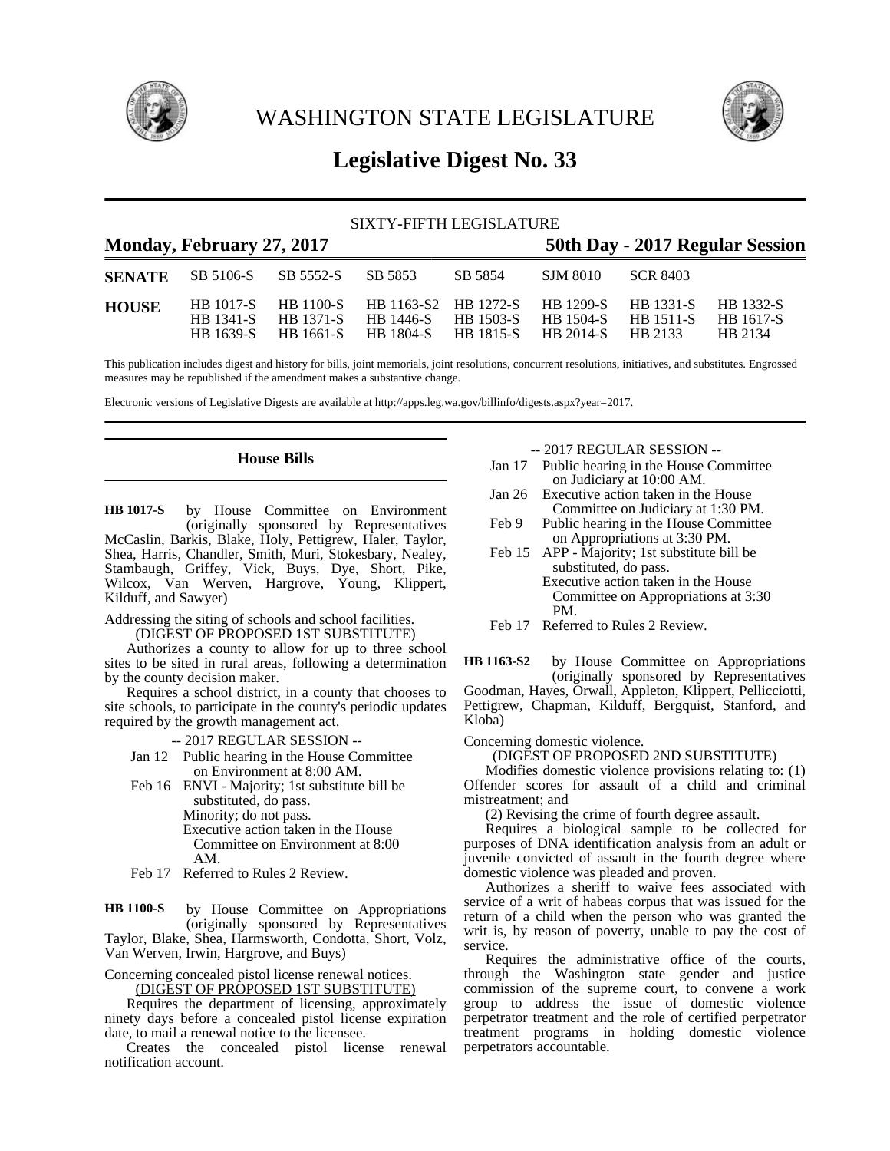

WASHINGTON STATE LEGISLATURE



# **Legislative Digest No. 33**

| SIXTY-FIFTH LEGISLATURE |                                            |                                                   |                                                                    |         |                                     |                                          |                                   |  |
|-------------------------|--------------------------------------------|---------------------------------------------------|--------------------------------------------------------------------|---------|-------------------------------------|------------------------------------------|-----------------------------------|--|
|                         | Monday, February 27, 2017                  |                                                   | 50th Day - 2017 Regular Session                                    |         |                                     |                                          |                                   |  |
| <b>SENATE</b>           | SB 5106-S                                  | SB 5552-S                                         | SB 5853                                                            | SB 5854 | SJM 8010                            | SCR 8403                                 |                                   |  |
| <b>HOUSE</b>            | <b>HB</b> 1017-S<br>HB 1341-S<br>HB 1639-S | <b>HB</b> 1100-S<br><b>HB</b> 1371-S<br>HB 1661-S | HB 1163-S2 HB 1272-S<br>HB 1446-S HB 1503-S<br>HB 1804-S HB 1815-S |         | HB 1299-S<br>HB 1504-S<br>HB 2014-S | HB 1331-S<br><b>HB</b> 1511-S<br>HB 2133 | HB 1332-S<br>HB 1617-S<br>HB 2134 |  |

This publication includes digest and history for bills, joint memorials, joint resolutions, concurrent resolutions, initiatives, and substitutes. Engrossed measures may be republished if the amendment makes a substantive change.

Electronic versions of Legislative Digests are available at http://apps.leg.wa.gov/billinfo/digests.aspx?year=2017.

### **House Bills**

by House Committee on Environment (originally sponsored by Representatives McCaslin, Barkis, Blake, Holy, Pettigrew, Haler, Taylor, Shea, Harris, Chandler, Smith, Muri, Stokesbary, Nealey, Stambaugh, Griffey, Vick, Buys, Dye, Short, Pike, Wilcox, Van Werven, Hargrove, Young, Klippert, Kilduff, and Sawyer) **HB 1017-S**

Addressing the siting of schools and school facilities. (DIGEST OF PROPOSED 1ST SUBSTITUTE)

Authorizes a county to allow for up to three school sites to be sited in rural areas, following a determination by the county decision maker.

Requires a school district, in a county that chooses to site schools, to participate in the county's periodic updates required by the growth management act.

-- 2017 REGULAR SESSION --

- Jan 12 Public hearing in the House Committee on Environment at 8:00 AM.
- Feb 16 ENVI Majority; 1st substitute bill be substituted, do pass. Minority; do not pass. Executive action taken in the House Committee on Environment at 8:00 AM.
- Feb 17 Referred to Rules 2 Review.

by House Committee on Appropriations (originally sponsored by Representatives Taylor, Blake, Shea, Harmsworth, Condotta, Short, Volz, Van Werven, Irwin, Hargrove, and Buys) **HB 1100-S**

Concerning concealed pistol license renewal notices.

(DIGEST OF PROPOSED 1ST SUBSTITUTE)

Requires the department of licensing, approximately ninety days before a concealed pistol license expiration date, to mail a renewal notice to the licensee.

Creates the concealed pistol license renewal notification account.

-- 2017 REGULAR SESSION --

- Jan 17 Public hearing in the House Committee on Judiciary at 10:00 AM.
- Jan 26 Executive action taken in the House Committee on Judiciary at 1:30 PM.
- Feb 9 Public hearing in the House Committee on Appropriations at 3:30 PM.
- Feb 15 APP Majority; 1st substitute bill be substituted, do pass. Executive action taken in the House Committee on Appropriations at 3:30 PM.

Feb 17 Referred to Rules 2 Review.

by House Committee on Appropriations (originally sponsored by Representatives Goodman, Hayes, Orwall, Appleton, Klippert, Pellicciotti, Pettigrew, Chapman, Kilduff, Bergquist, Stanford, and Kloba) **HB 1163-S2**

Concerning domestic violence.

(DIGEST OF PROPOSED 2ND SUBSTITUTE)

Modifies domestic violence provisions relating to: (1) Offender scores for assault of a child and criminal mistreatment; and

(2) Revising the crime of fourth degree assault.

Requires a biological sample to be collected for purposes of DNA identification analysis from an adult or juvenile convicted of assault in the fourth degree where domestic violence was pleaded and proven.

Authorizes a sheriff to waive fees associated with service of a writ of habeas corpus that was issued for the return of a child when the person who was granted the writ is, by reason of poverty, unable to pay the cost of service.

Requires the administrative office of the courts, through the Washington state gender and justice commission of the supreme court, to convene a work group to address the issue of domestic violence perpetrator treatment and the role of certified perpetrator treatment programs in holding domestic violence perpetrators accountable.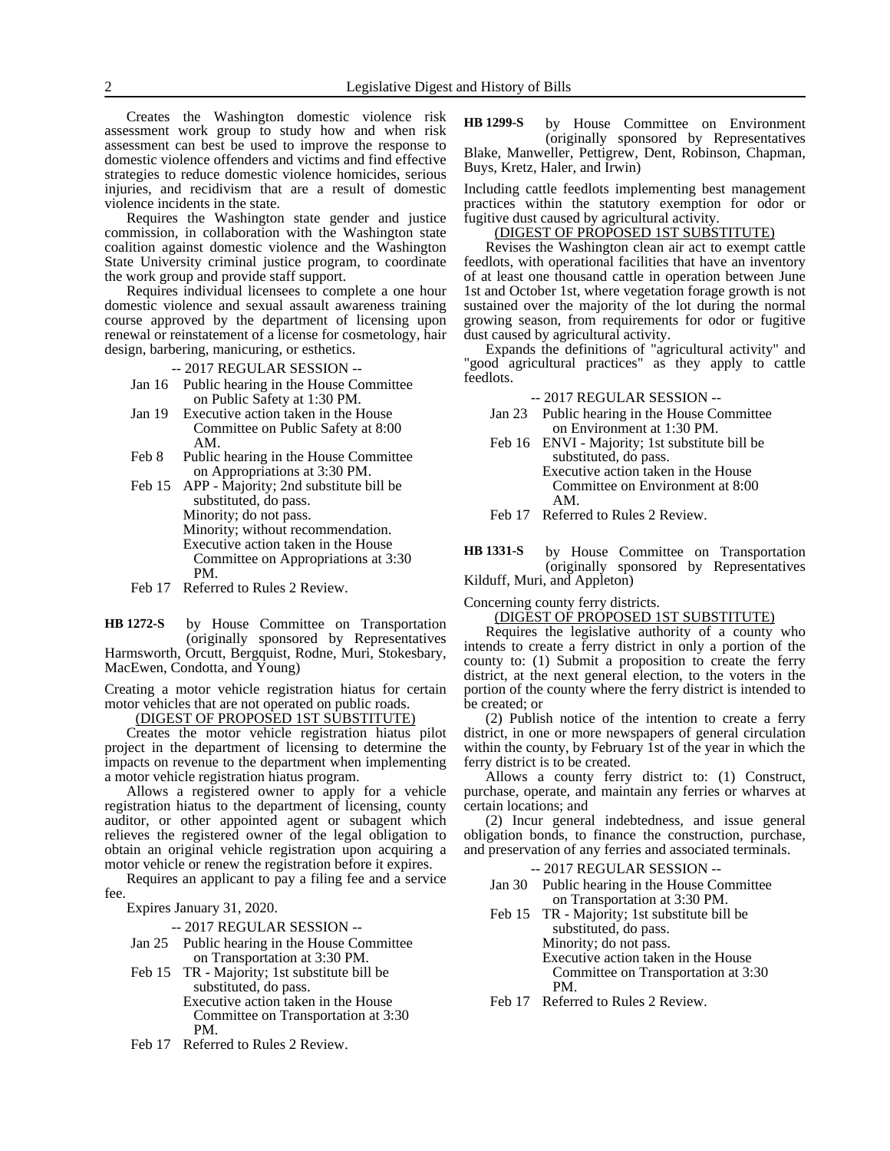Creates the Washington domestic violence risk assessment work group to study how and when risk assessment can best be used to improve the response to domestic violence offenders and victims and find effective strategies to reduce domestic violence homicides, serious injuries, and recidivism that are a result of domestic violence incidents in the state.

Requires the Washington state gender and justice commission, in collaboration with the Washington state coalition against domestic violence and the Washington State University criminal justice program, to coordinate the work group and provide staff support.

Requires individual licensees to complete a one hour domestic violence and sexual assault awareness training course approved by the department of licensing upon renewal or reinstatement of a license for cosmetology, hair design, barbering, manicuring, or esthetics.

-- 2017 REGULAR SESSION --

- Jan 16 Public hearing in the House Committee on Public Safety at 1:30 PM.
- Jan 19 Executive action taken in the House Committee on Public Safety at 8:00 AM.
- Feb 8 Public hearing in the House Committee on Appropriations at 3:30 PM.
- Feb 15 APP Majority; 2nd substitute bill be substituted, do pass. Minority; do not pass. Minority; without recommendation. Executive action taken in the House Committee on Appropriations at 3:30 PM.
- Feb 17 Referred to Rules 2 Review.

by House Committee on Transportation (originally sponsored by Representatives Harmsworth, Orcutt, Bergquist, Rodne, Muri, Stokesbary, MacEwen, Condotta, and Young) **HB 1272-S**

Creating a motor vehicle registration hiatus for certain motor vehicles that are not operated on public roads.

<u>(DIGEST OF PROPOSED 1ST SÚBSTITUTE)</u>

Creates the motor vehicle registration hiatus pilot project in the department of licensing to determine the impacts on revenue to the department when implementing a motor vehicle registration hiatus program.

Allows a registered owner to apply for a vehicle registration hiatus to the department of licensing, county auditor, or other appointed agent or subagent which relieves the registered owner of the legal obligation to obtain an original vehicle registration upon acquiring a motor vehicle or renew the registration before it expires.

Requires an applicant to pay a filing fee and a service fee.

Expires January 31, 2020.

-- 2017 REGULAR SESSION --

- Jan 25 Public hearing in the House Committee on Transportation at 3:30 PM.
- Feb 15 TR Majority; 1st substitute bill be substituted, do pass. Executive action taken in the House Committee on Transportation at 3:30
	- PM.
- Feb 17 Referred to Rules 2 Review.

by House Committee on Environment (originally sponsored by Representatives Blake, Manweller, Pettigrew, Dent, Robinson, Chapman, Buys, Kretz, Haler, and Irwin) **HB 1299-S**

Including cattle feedlots implementing best management practices within the statutory exemption for odor or fugitive dust caused by agricultural activity.

#### (DIGEST OF PROPOSED 1ST SUBSTITUTE)

Revises the Washington clean air act to exempt cattle feedlots, with operational facilities that have an inventory of at least one thousand cattle in operation between June 1st and October 1st, where vegetation forage growth is not sustained over the majority of the lot during the normal growing season, from requirements for odor or fugitive dust caused by agricultural activity.

Expands the definitions of "agricultural activity" and "good agricultural practices" as they apply to cattle feedlots.

-- 2017 REGULAR SESSION --

- Jan 23 Public hearing in the House Committee on Environment at 1:30 PM.
- Feb 16 ENVI Majority; 1st substitute bill be substituted, do pass. Executive action taken in the House Committee on Environment at 8:00 AM.

Feb 17 Referred to Rules 2 Review.

by House Committee on Transportation (originally sponsored by Representatives Kilduff, Muri, and Appleton) **HB 1331-S**

Concerning county ferry districts.

#### (DIGEST OF PROPOSED 1ST SUBSTITUTE)

Requires the legislative authority of a county who intends to create a ferry district in only a portion of the county to: (1) Submit a proposition to create the ferry district, at the next general election, to the voters in the portion of the county where the ferry district is intended to be created; or

(2) Publish notice of the intention to create a ferry district, in one or more newspapers of general circulation within the county, by February 1st of the year in which the ferry district is to be created.

Allows a county ferry district to: (1) Construct, purchase, operate, and maintain any ferries or wharves at certain locations; and

(2) Incur general indebtedness, and issue general obligation bonds, to finance the construction, purchase, and preservation of any ferries and associated terminals.

| $-2017$ REGULAR SESSION $-$                  |
|----------------------------------------------|
| Jan 30 Public hearing in the House Committee |

on Transportation at 3:30 PM. Feb 15 TR - Majority; 1st substitute bill be

> substituted, do pass. Minority; do not pass. Executive action taken in the House Committee on Transportation at 3:30 PM.

Feb 17 Referred to Rules 2 Review.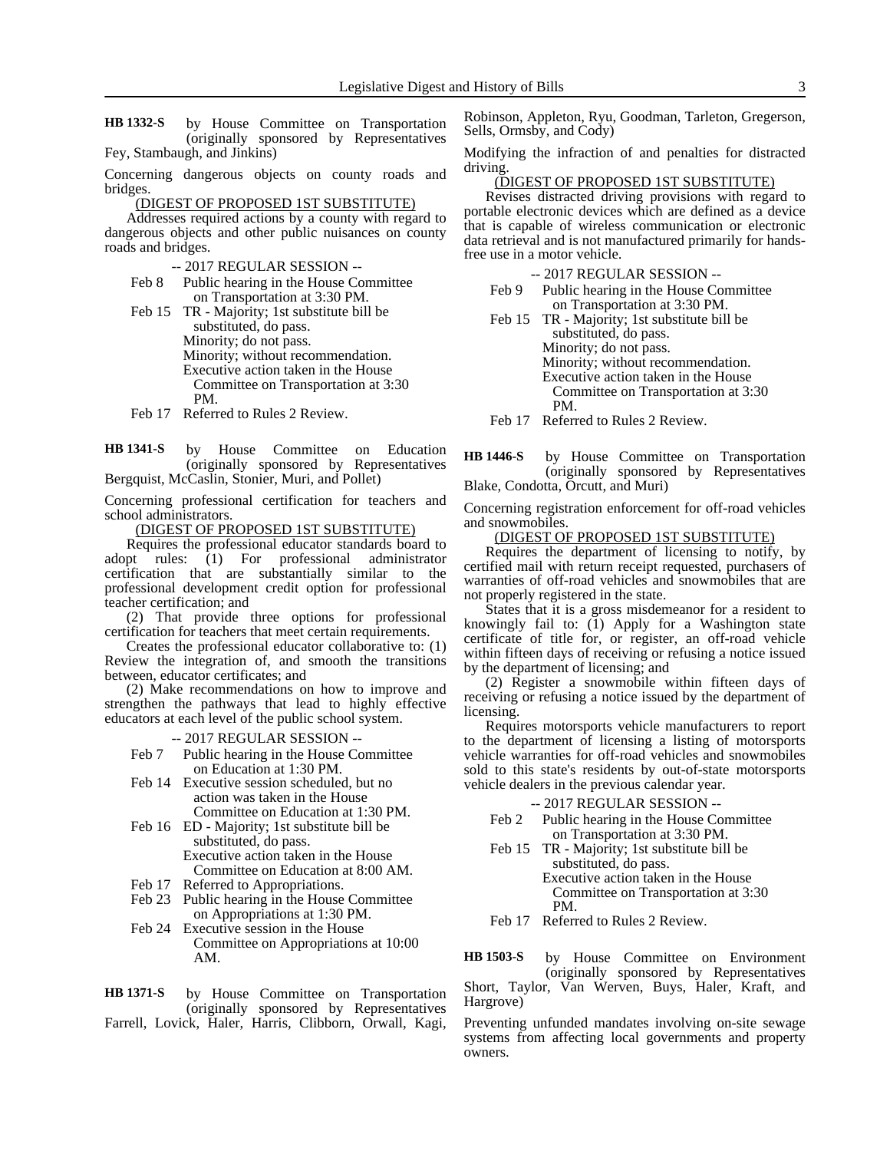by House Committee on Transportation (originally sponsored by Representatives Fey, Stambaugh, and Jinkins) **HB 1332-S**

Concerning dangerous objects on county roads and bridges.

(DIGEST OF PROPOSED 1ST SUBSTITUTE)

Addresses required actions by a county with regard to dangerous objects and other public nuisances on county roads and bridges.

-- 2017 REGULAR SESSION --

- Feb 8 Public hearing in the House Committee on Transportation at 3:30 PM.
- Feb 15 TR Majority; 1st substitute bill be substituted, do pass. Minority; do not pass. Minority; without recommendation. Executive action taken in the House Committee on Transportation at 3:30 PM.
- Feb 17 Referred to Rules 2 Review.

by House Committee on Education (originally sponsored by Representatives Bergquist, McCaslin, Stonier, Muri, and Pollet) **HB 1341-S**

Concerning professional certification for teachers and school administrators.

(DIGEST OF PROPOSED 1ST SUBSTITUTE)

Requires the professional educator standards board to adopt rules: (1) For professional administrator certification that are substantially similar to the professional development credit option for professional teacher certification; and

(2) That provide three options for professional certification for teachers that meet certain requirements.

Creates the professional educator collaborative to: (1) Review the integration of, and smooth the transitions between, educator certificates; and

(2) Make recommendations on how to improve and strengthen the pathways that lead to highly effective educators at each level of the public school system.

-- 2017 REGULAR SESSION --

- Feb 7 Public hearing in the House Committee on Education at 1:30 PM.
- Feb 14 Executive session scheduled, but no action was taken in the House Committee on Education at 1:30 PM.
- Feb 16 ED Majority; 1st substitute bill be substituted, do pass. Executive action taken in the House

Committee on Education at 8:00 AM. Feb 17 Referred to Appropriations.

- Feb 23 Public hearing in the House Committee on Appropriations at 1:30 PM.
- Feb 24 Executive session in the House Committee on Appropriations at 10:00 AM.

by House Committee on Transportation (originally sponsored by Representatives **HB 1371-S**

Farrell, Lovick, Haler, Harris, Clibborn, Orwall, Kagi,

Robinson, Appleton, Ryu, Goodman, Tarleton, Gregerson, Sells, Ormsby, and Cody)

Modifying the infraction of and penalties for distracted driving.

#### (DIGEST OF PROPOSED 1ST SUBSTITUTE)

Revises distracted driving provisions with regard to portable electronic devices which are defined as a device that is capable of wireless communication or electronic data retrieval and is not manufactured primarily for handsfree use in a motor vehicle.

-- 2017 REGULAR SESSION --

- Feb 9 Public hearing in the House Committee on Transportation at 3:30 PM.
- Feb 15 TR Majority; 1st substitute bill be substituted, do pass. Minority; do not pass. Minority; without recommendation. Executive action taken in the House Committee on Transportation at 3:30 PM.

Feb 17 Referred to Rules 2 Review.

by House Committee on Transportation (originally sponsored by Representatives Blake, Condotta, Orcutt, and Muri) **HB 1446-S**

Concerning registration enforcement for off-road vehicles and snowmobiles.

## (DIGEST OF PROPOSED 1ST SUBSTITUTE)

Requires the department of licensing to notify, by certified mail with return receipt requested, purchasers of warranties of off-road vehicles and snowmobiles that are not properly registered in the state.

States that it is a gross misdemeanor for a resident to knowingly fail to: (1) Apply for a Washington state certificate of title for, or register, an off-road vehicle within fifteen days of receiving or refusing a notice issued by the department of licensing; and

(2) Register a snowmobile within fifteen days of receiving or refusing a notice issued by the department of licensing.

Requires motorsports vehicle manufacturers to report to the department of licensing a listing of motorsports vehicle warranties for off-road vehicles and snowmobiles sold to this state's residents by out-of-state motorsports vehicle dealers in the previous calendar year.

#### -- 2017 REGULAR SESSION --

- Feb 2 Public hearing in the House Committee on Transportation at 3:30 PM.
- Feb 15 TR Majority; 1st substitute bill be substituted, do pass.

Executive action taken in the House Committee on Transportation at 3:30 PM.

Feb 17 Referred to Rules 2 Review.

by House Committee on Environment (originally sponsored by Representatives Short, Taylor, Van Werven, Buys, Haler, Kraft, and Hargrove) **HB 1503-S**

Preventing unfunded mandates involving on-site sewage systems from affecting local governments and property owners.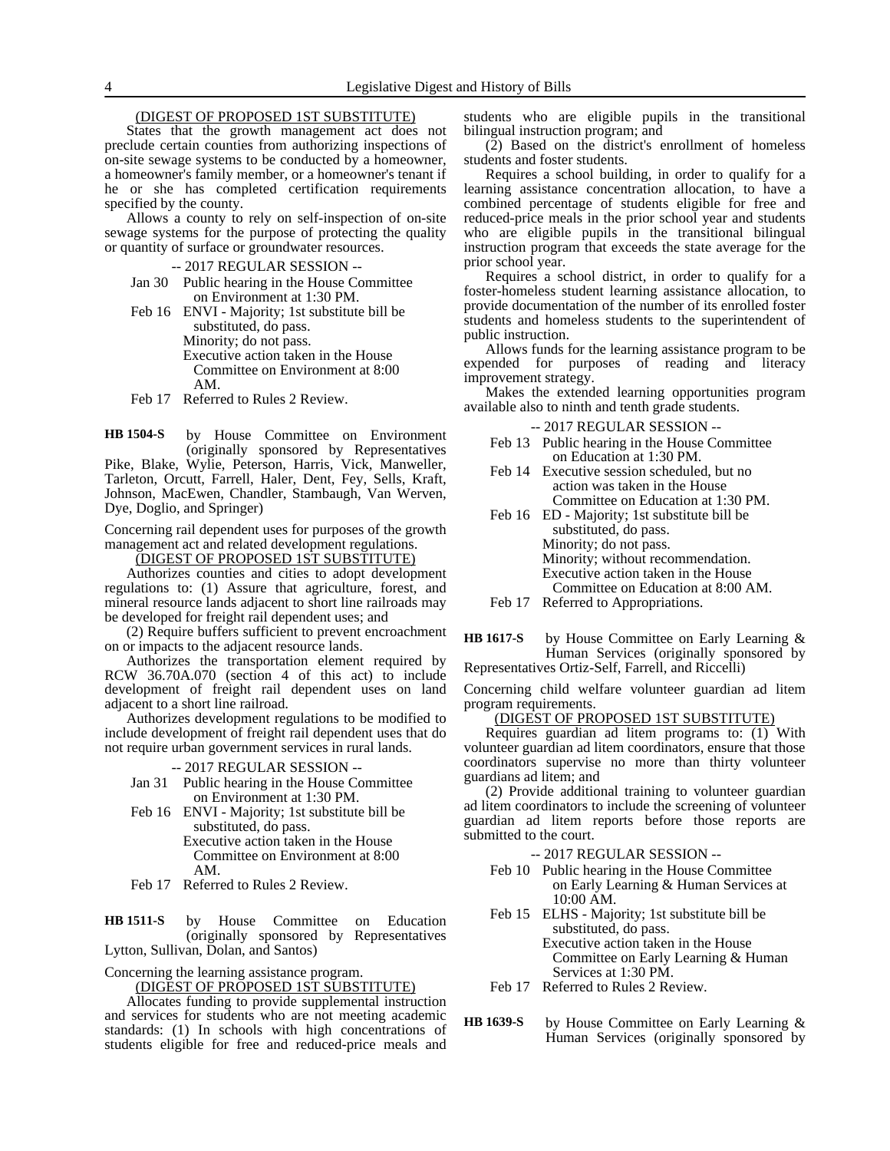### (DIGEST OF PROPOSED 1ST SUBSTITUTE)

States that the growth management act does not preclude certain counties from authorizing inspections of on-site sewage systems to be conducted by a homeowner, a homeowner's family member, or a homeowner's tenant if he or she has completed certification requirements specified by the county.

Allows a county to rely on self-inspection of on-site sewage systems for the purpose of protecting the quality or quantity of surface or groundwater resources.

- -- 2017 REGULAR SESSION --
- Jan 30 Public hearing in the House Committee on Environment at 1:30 PM.
- Feb 16 ENVI Majority; 1st substitute bill be substituted, do pass. Minority; do not pass. Executive action taken in the House Committee on Environment at 8:00 AM.
- Feb 17 Referred to Rules 2 Review.

by House Committee on Environment (originally sponsored by Representatives Pike, Blake, Wylie, Peterson, Harris, Vick, Manweller, Tarleton, Orcutt, Farrell, Haler, Dent, Fey, Sells, Kraft, Johnson, MacEwen, Chandler, Stambaugh, Van Werven, Dye, Doglio, and Springer) **HB 1504-S**

Concerning rail dependent uses for purposes of the growth management act and related development regulations.

(DIGEST OF PROPOSED 1ST SUBSTITUTE)

Authorizes counties and cities to adopt development regulations to: (1) Assure that agriculture, forest, and mineral resource lands adjacent to short line railroads may be developed for freight rail dependent uses; and

(2) Require buffers sufficient to prevent encroachment on or impacts to the adjacent resource lands.

Authorizes the transportation element required by RCW 36.70A.070 (section 4 of this act) to include development of freight rail dependent uses on land adjacent to a short line railroad.

Authorizes development regulations to be modified to include development of freight rail dependent uses that do not require urban government services in rural lands.

#### -- 2017 REGULAR SESSION --

- Jan 31 Public hearing in the House Committee on Environment at 1:30 PM.
- Feb 16 ENVI Majority; 1st substitute bill be substituted, do pass. Executive action taken in the House Committee on Environment at 8:00 AM.
- Feb 17 Referred to Rules 2 Review.

by House Committee on Education (originally sponsored by Representatives Lytton, Sullivan, Dolan, and Santos) **HB 1511-S**

Concerning the learning assistance program.

(DIGEST OF PROPOSED 1ST SUBSTITUTE)

Allocates funding to provide supplemental instruction and services for students who are not meeting academic standards: (1) In schools with high concentrations of students eligible for free and reduced-price meals and

students who are eligible pupils in the transitional bilingual instruction program; and

(2) Based on the district's enrollment of homeless students and foster students.

Requires a school building, in order to qualify for a learning assistance concentration allocation, to have a combined percentage of students eligible for free and reduced-price meals in the prior school year and students who are eligible pupils in the transitional bilingual instruction program that exceeds the state average for the prior school year.

Requires a school district, in order to qualify for a foster-homeless student learning assistance allocation, to provide documentation of the number of its enrolled foster students and homeless students to the superintendent of public instruction.

Allows funds for the learning assistance program to be expended for purposes of reading and literacy improvement strategy.

Makes the extended learning opportunities program available also to ninth and tenth grade students.

-- 2017 REGULAR SESSION --

- Feb 13 Public hearing in the House Committee on Education at 1:30 PM.
- Feb 14 Executive session scheduled, but no action was taken in the House Committee on Education at 1:30 PM.
- Feb 16 ED Majority; 1st substitute bill be substituted, do pass. Minority; do not pass. Minority; without recommendation. Executive action taken in the House Committee on Education at 8:00 AM.
- Feb 17 Referred to Appropriations.

by House Committee on Early Learning & Human Services (originally sponsored by **HB 1617-S**

Representatives Ortiz-Self, Farrell, and Riccelli)

Concerning child welfare volunteer guardian ad litem program requirements.

### (DIGEST OF PROPOSED 1ST SUBSTITUTE)

Requires guardian ad litem programs to: (1) With volunteer guardian ad litem coordinators, ensure that those coordinators supervise no more than thirty volunteer guardians ad litem; and

(2) Provide additional training to volunteer guardian ad litem coordinators to include the screening of volunteer guardian ad litem reports before those reports are submitted to the court.

-- 2017 REGULAR SESSION --

- Feb 10 Public hearing in the House Committee on Early Learning & Human Services at 10:00 AM.
- Feb 15 ELHS Majority; 1st substitute bill be substituted, do pass. Executive action taken in the House Committee on Early Learning & Human Services at 1:30 PM.
- Feb 17 Referred to Rules 2 Review.
- by House Committee on Early Learning & Human Services (originally sponsored by **HB 1639-S**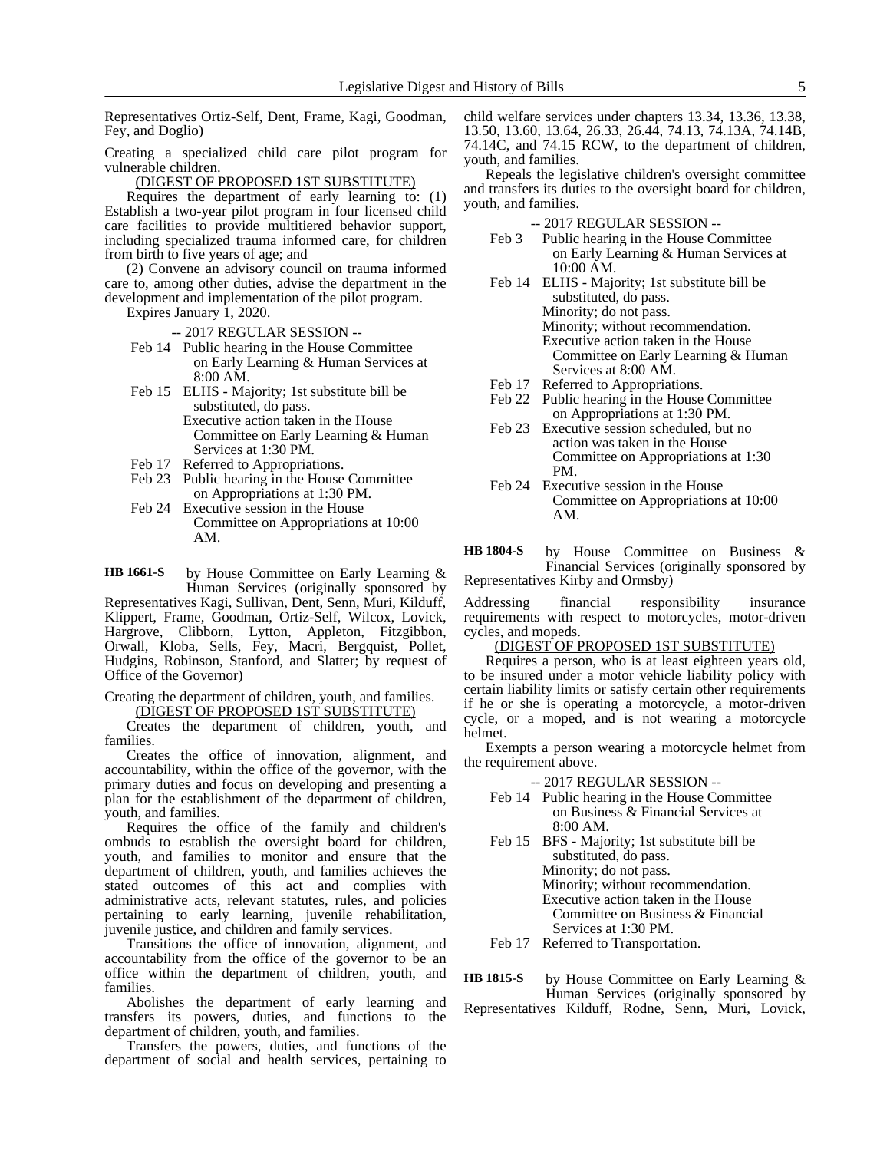Representatives Ortiz-Self, Dent, Frame, Kagi, Goodman, Fey, and Doglio)

Creating a specialized child care pilot program for vulnerable children.

(DIGEST OF PROPOSED 1ST SUBSTITUTE)

Requires the department of early learning to: (1) Establish a two-year pilot program in four licensed child care facilities to provide multitiered behavior support, including specialized trauma informed care, for children from birth to five years of age; and

(2) Convene an advisory council on trauma informed care to, among other duties, advise the department in the development and implementation of the pilot program.

Expires January 1, 2020.

-- 2017 REGULAR SESSION --

- Feb 14 Public hearing in the House Committee on Early Learning & Human Services at 8:00 AM.
- Feb 15 ELHS Majority; 1st substitute bill be substituted, do pass.

Executive action taken in the House Committee on Early Learning & Human Services at 1:30 PM.

- Feb 17 Referred to Appropriations.
- Feb 23 Public hearing in the House Committee on Appropriations at 1:30 PM.
- Feb 24 Executive session in the House Committee on Appropriations at 10:00 AM.

by House Committee on Early Learning & Human Services (originally sponsored by **HB 1661-S**

Representatives Kagi, Sullivan, Dent, Senn, Muri, Kilduff, Klippert, Frame, Goodman, Ortiz-Self, Wilcox, Lovick, Hargrove, Clibborn, Lytton, Appleton, Fitzgibbon, Orwall, Kloba, Sells, Fey, Macri, Bergquist, Pollet, Hudgins, Robinson, Stanford, and Slatter; by request of Office of the Governor)

Creating the department of children, youth, and families. (DIGEST OF PROPOSED 1ST SUBSTITUTE)

Creates the department of children, youth, and families.

Creates the office of innovation, alignment, and accountability, within the office of the governor, with the primary duties and focus on developing and presenting a plan for the establishment of the department of children, youth, and families.

Requires the office of the family and children's ombuds to establish the oversight board for children, youth, and families to monitor and ensure that the department of children, youth, and families achieves the stated outcomes of this act and complies with administrative acts, relevant statutes, rules, and policies pertaining to early learning, juvenile rehabilitation, juvenile justice, and children and family services.

Transitions the office of innovation, alignment, and accountability from the office of the governor to be an office within the department of children, youth, and families.

Abolishes the department of early learning and transfers its powers, duties, and functions to the department of children, youth, and families.

Transfers the powers, duties, and functions of the department of social and health services, pertaining to

child welfare services under chapters 13.34, 13.36, 13.38, 13.50, 13.60, 13.64, 26.33, 26.44, 74.13, 74.13A, 74.14B, 74.14C, and 74.15 RCW, to the department of children, youth, and families.

Repeals the legislative children's oversight committee and transfers its duties to the oversight board for children, youth, and families.

-- 2017 REGULAR SESSION --

- Feb 3 Public hearing in the House Committee on Early Learning & Human Services at 10:00 AM.
- Feb 14 ELHS Majority; 1st substitute bill be substituted, do pass. Minority; do not pass. Minority; without recommendation. Executive action taken in the House Committee on Early Learning & Human Services at 8:00 AM.
- Feb 17 Referred to Appropriations.
- Feb 22 Public hearing in the House Committee on Appropriations at 1:30 PM.
- Feb 23 Executive session scheduled, but no action was taken in the House Committee on Appropriations at 1:30 PM.
- Feb 24 Executive session in the House Committee on Appropriations at 10:00 AM.

by House Committee on Business & Financial Services (originally sponsored by Representatives Kirby and Ormsby) **HB 1804-S**

Addressing financial responsibility insurance requirements with respect to motorcycles, motor-driven cycles, and mopeds.

(DIGEST OF PROPOSED 1ST SUBSTITUTE)

Requires a person, who is at least eighteen years old, to be insured under a motor vehicle liability policy with certain liability limits or satisfy certain other requirements if he or she is operating a motorcycle, a motor-driven cycle, or a moped, and is not wearing a motorcycle helmet.

Exempts a person wearing a motorcycle helmet from the requirement above.

- -- 2017 REGULAR SESSION --
- Feb 14 Public hearing in the House Committee on Business & Financial Services at 8:00 AM.
- Feb 15 BFS Majority; 1st substitute bill be substituted, do pass. Minority; do not pass. Minority; without recommendation. Executive action taken in the House Committee on Business & Financial Services at 1:30 PM.
- Feb 17 Referred to Transportation.

by House Committee on Early Learning & Human Services (originally sponsored by Representatives Kilduff, Rodne, Senn, Muri, Lovick, **HB 1815-S**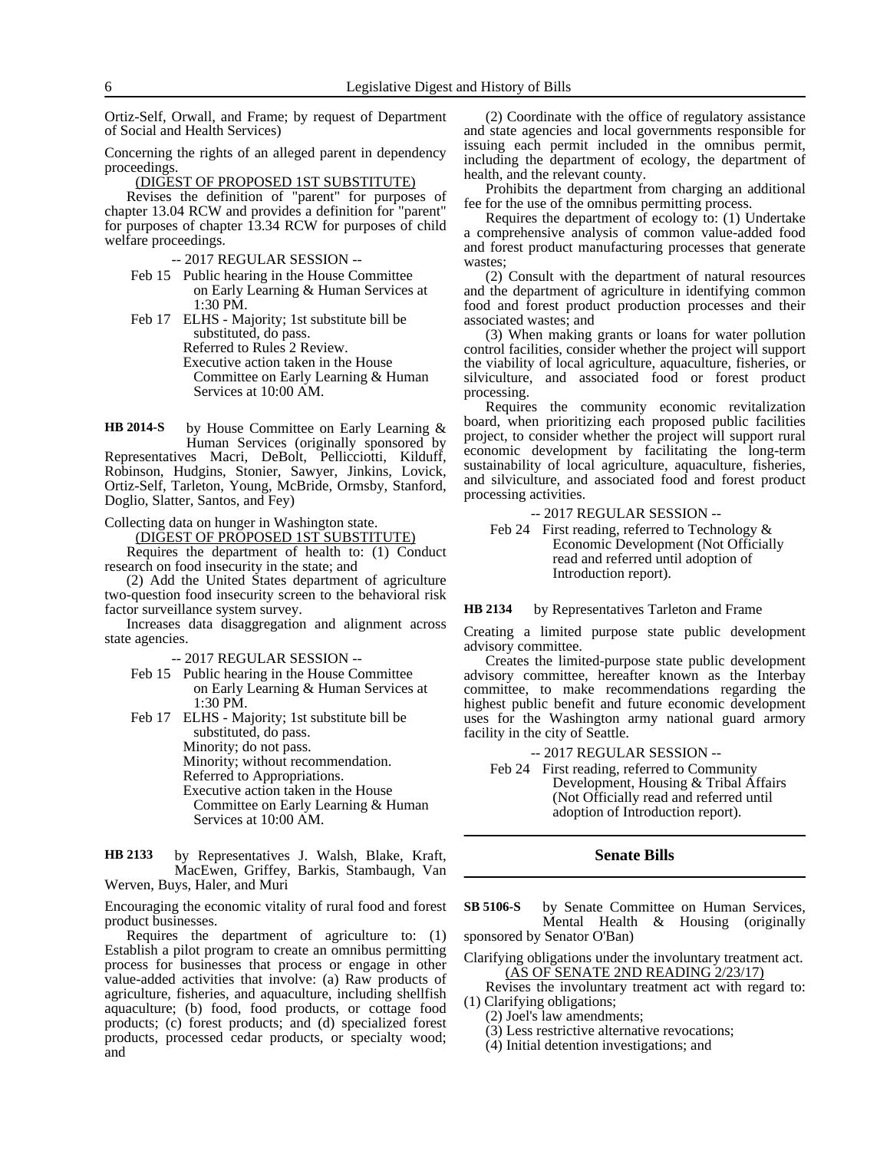Ortiz-Self, Orwall, and Frame; by request of Department of Social and Health Services)

Concerning the rights of an alleged parent in dependency proceedings.

(DIGEST OF PROPOSED 1ST SUBSTITUTE)

Revises the definition of "parent" for purposes of chapter 13.04 RCW and provides a definition for "parent" for purposes of chapter 13.34 RCW for purposes of child welfare proceedings.

- -- 2017 REGULAR SESSION --
- Feb 15 Public hearing in the House Committee on Early Learning & Human Services at 1:30 PM.

Feb 17 ELHS - Majority; 1st substitute bill be substituted, do pass. Referred to Rules 2 Review. Executive action taken in the House Committee on Early Learning & Human Services at 10:00 AM.

by House Committee on Early Learning & Human Services (originally sponsored by Representatives Macri, DeBolt, Pellicciotti, Kilduff, Robinson, Hudgins, Stonier, Sawyer, Jinkins, Lovick, Ortiz-Self, Tarleton, Young, McBride, Ormsby, Stanford, Doglio, Slatter, Santos, and Fey) **HB 2014-S**

Collecting data on hunger in Washington state.

(DIGEST OF PROPOSED 1ST SUBSTITUTE)

Requires the department of health to: (1) Conduct research on food insecurity in the state; and

(2) Add the United States department of agriculture two-question food insecurity screen to the behavioral risk factor surveillance system survey.

Increases data disaggregation and alignment across state agencies.

-- 2017 REGULAR SESSION --

Feb 15 Public hearing in the House Committee on Early Learning & Human Services at 1:30 PM.

Feb 17 ELHS - Majority; 1st substitute bill be substituted, do pass. Minority; do not pass. Minority; without recommendation. Referred to Appropriations. Executive action taken in the House Committee on Early Learning & Human Services at 10:00 AM.

by Representatives J. Walsh, Blake, Kraft, MacEwen, Griffey, Barkis, Stambaugh, Van Werven, Buys, Haler, and Muri **HB 2133**

Encouraging the economic vitality of rural food and forest product businesses.

Requires the department of agriculture to: (1) Establish a pilot program to create an omnibus permitting process for businesses that process or engage in other value-added activities that involve: (a) Raw products of agriculture, fisheries, and aquaculture, including shellfish aquaculture; (b) food, food products, or cottage food products; (c) forest products; and (d) specialized forest products, processed cedar products, or specialty wood; and

(2) Coordinate with the office of regulatory assistance and state agencies and local governments responsible for issuing each permit included in the omnibus permit, including the department of ecology, the department of health, and the relevant county.

Prohibits the department from charging an additional fee for the use of the omnibus permitting process.

Requires the department of ecology to: (1) Undertake a comprehensive analysis of common value-added food and forest product manufacturing processes that generate wastes;

(2) Consult with the department of natural resources and the department of agriculture in identifying common food and forest product production processes and their associated wastes; and

(3) When making grants or loans for water pollution control facilities, consider whether the project will support the viability of local agriculture, aquaculture, fisheries, or silviculture, and associated food or forest product processing.

Requires the community economic revitalization board, when prioritizing each proposed public facilities project, to consider whether the project will support rural economic development by facilitating the long-term sustainability of local agriculture, aquaculture, fisheries, and silviculture, and associated food and forest product processing activities.

-- 2017 REGULAR SESSION --

Feb 24 First reading, referred to Technology & Economic Development (Not Officially read and referred until adoption of Introduction report).

by Representatives Tarleton and Frame **HB 2134**

Creating a limited purpose state public development advisory committee.

Creates the limited-purpose state public development advisory committee, hereafter known as the Interbay committee, to make recommendations regarding the highest public benefit and future economic development uses for the Washington army national guard armory facility in the city of Seattle.

-- 2017 REGULAR SESSION --

Feb 24 First reading, referred to Community Development, Housing & Tribal Affairs (Not Officially read and referred until adoption of Introduction report).

#### **Senate Bills**

by Senate Committee on Human Services, Mental Health & Housing (originally sponsored by Senator O'Ban) **SB 5106-S**

Clarifying obligations under the involuntary treatment act. (AS OF SENATE 2ND READING 2/23/17)

Revises the involuntary treatment act with regard to: Clarifying obligations;

- (2) Joel's law amendments;
- (3) Less restrictive alternative revocations;
- (4) Initial detention investigations; and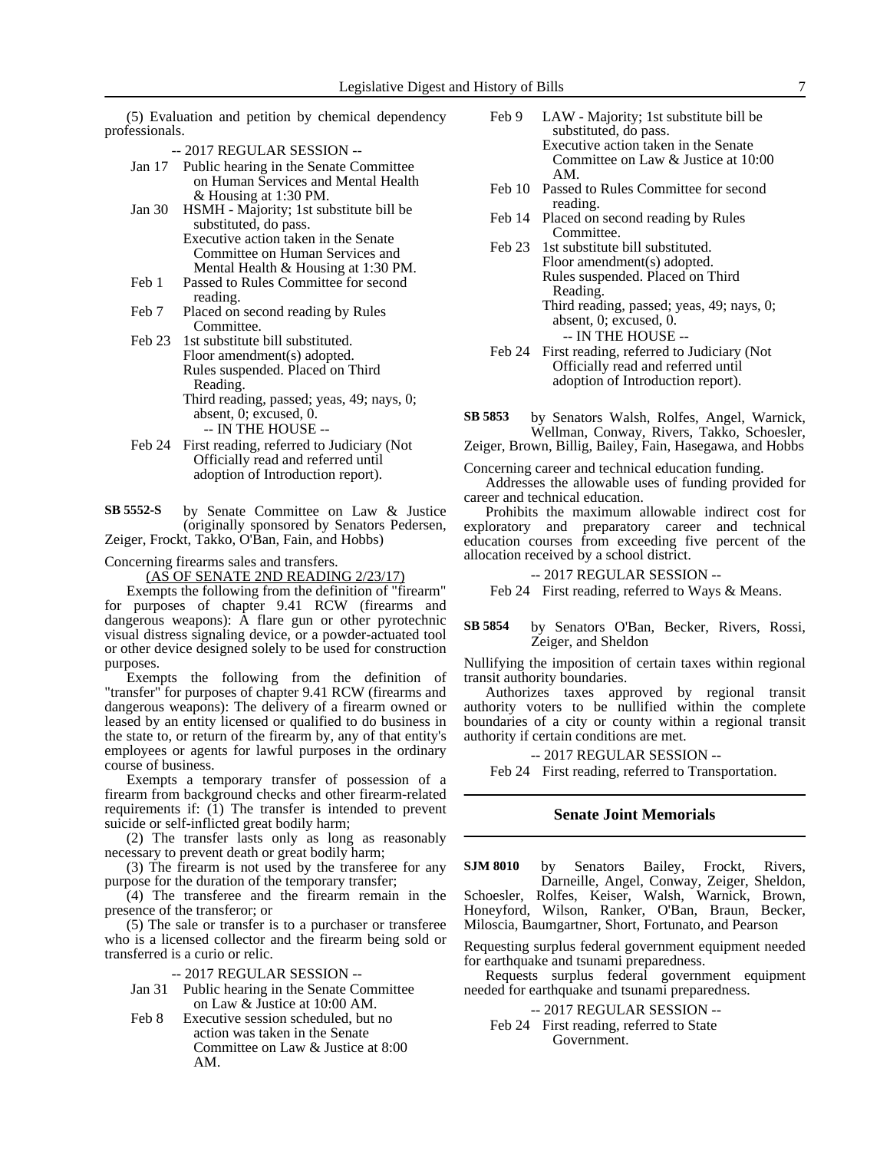(5) Evaluation and petition by chemical dependency professionals.

- -- 2017 REGULAR SESSION --
- Jan 17 Public hearing in the Senate Committee on Human Services and Mental Health & Housing at 1:30 PM.
- Jan 30 HSMH Majority; 1st substitute bill be substituted, do pass. Executive action taken in the Senate Committee on Human Services and Mental Health & Housing at 1:30 PM.
- Feb 1 Passed to Rules Committee for second reading.
- Feb 7 Placed on second reading by Rules Committee.
- Feb 23 1st substitute bill substituted. Floor amendment(s) adopted. Rules suspended. Placed on Third Reading. Third reading, passed; yeas, 49; nays, 0; absent, 0; excused, 0. -- IN THE HOUSE --
- Feb 24 First reading, referred to Judiciary (Not Officially read and referred until adoption of Introduction report).

by Senate Committee on Law & Justice (originally sponsored by Senators Pedersen, **SB 5552-S**

Zeiger, Frockt, Takko, O'Ban, Fain, and Hobbs)

Concerning firearms sales and transfers.

(AS OF SENATE 2ND READING 2/23/17)

Exempts the following from the definition of "firearm" for purposes of chapter 9.41 RCW (firearms and dangerous weapons): A flare gun or other pyrotechnic visual distress signaling device, or a powder-actuated tool or other device designed solely to be used for construction purposes.

Exempts the following from the definition of "transfer" for purposes of chapter 9.41 RCW (firearms and dangerous weapons): The delivery of a firearm owned or leased by an entity licensed or qualified to do business in the state to, or return of the firearm by, any of that entity's employees or agents for lawful purposes in the ordinary course of business.

Exempts a temporary transfer of possession of a firearm from background checks and other firearm-related requirements if: (1) The transfer is intended to prevent suicide or self-inflicted great bodily harm;

(2) The transfer lasts only as long as reasonably necessary to prevent death or great bodily harm;

(3) The firearm is not used by the transferee for any purpose for the duration of the temporary transfer;

(4) The transferee and the firearm remain in the presence of the transferor; or

(5) The sale or transfer is to a purchaser or transferee who is a licensed collector and the firearm being sold or transferred is a curio or relic.

- -- 2017 REGULAR SESSION --
- Jan 31 Public hearing in the Senate Committee on Law & Justice at 10:00 AM.
- Feb 8 Executive session scheduled, but no action was taken in the Senate Committee on Law & Justice at 8:00 AM.
- Feb 9 LAW Majority; 1st substitute bill be substituted, do pass. Executive action taken in the Senate Committee on Law & Justice at 10:00 AM.
- Feb 10 Passed to Rules Committee for second reading.
- Feb 14 Placed on second reading by Rules Committee.
- Feb 23 1st substitute bill substituted. Floor amendment(s) adopted. Rules suspended. Placed on Third Reading. Third reading, passed; yeas, 49; nays, 0;

absent, 0; excused, 0. -- IN THE HOUSE --

Feb 24 First reading, referred to Judiciary (Not Officially read and referred until adoption of Introduction report).

by Senators Walsh, Rolfes, Angel, Warnick, Wellman, Conway, Rivers, Takko, Schoesler, **SB 5853**

Zeiger, Brown, Billig, Bailey, Fain, Hasegawa, and Hobbs

Concerning career and technical education funding.

Addresses the allowable uses of funding provided for career and technical education.

Prohibits the maximum allowable indirect cost for exploratory and preparatory career and technical education courses from exceeding five percent of the allocation received by a school district.

-- 2017 REGULAR SESSION --

Feb 24 First reading, referred to Ways & Means.

#### by Senators O'Ban, Becker, Rivers, Rossi, Zeiger, and Sheldon **SB 5854**

Nullifying the imposition of certain taxes within regional transit authority boundaries.

Authorizes taxes approved by regional transit authority voters to be nullified within the complete boundaries of a city or county within a regional transit authority if certain conditions are met.

-- 2017 REGULAR SESSION --

Feb 24 First reading, referred to Transportation.

### **Senate Joint Memorials**

by Senators Bailey, Frockt, Rivers, Darneille, Angel, Conway, Zeiger, Sheldon, Schoesler, Rolfes, Keiser, Walsh, Warnick, Brown, Honeyford, Wilson, Ranker, O'Ban, Braun, Becker, Miloscia, Baumgartner, Short, Fortunato, and Pearson **SJM 8010**

Requesting surplus federal government equipment needed for earthquake and tsunami preparedness.

Requests surplus federal government equipment needed for earthquake and tsunami preparedness.

-- 2017 REGULAR SESSION --

Feb 24 First reading, referred to State Government.